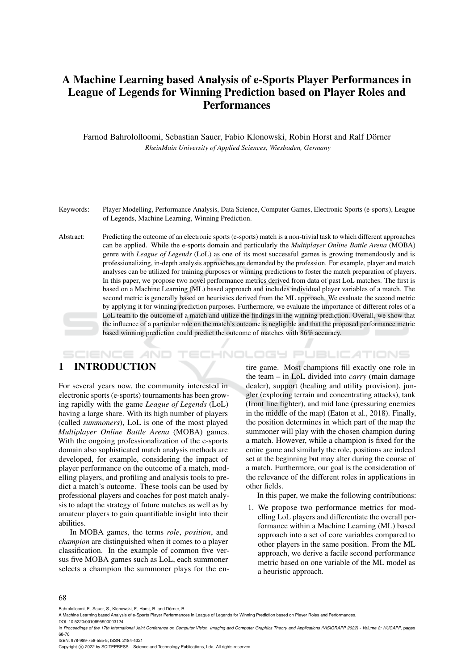# A Machine Learning based Analysis of e-Sports Player Performances in League of Legends for Winning Prediction based on Player Roles and **Performances**

Farnod Bahrololloomi, Sebastian Sauer, Fabio Klonowski, Robin Horst and Ralf Dorner ¨ *RheinMain University of Applied Sciences, Wiesbaden, Germany*

- Keywords: Player Modelling, Performance Analysis, Data Science, Computer Games, Electronic Sports (e-sports), League of Legends, Machine Learning, Winning Prediction.
- Abstract: Predicting the outcome of an electronic sports (e-sports) match is a non-trivial task to which different approaches can be applied. While the e-sports domain and particularly the *Multiplayer Online Battle Arena* (MOBA) genre with *League of Legends* (LoL) as one of its most successful games is growing tremendously and is professionalizing, in-depth analysis approaches are demanded by the profession. For example, player and match analyses can be utilized for training purposes or winning predictions to foster the match preparation of players. In this paper, we propose two novel performance metrics derived from data of past LoL matches. The first is based on a Machine Learning (ML) based approach and includes individual player variables of a match. The second metric is generally based on heuristics derived from the ML approach. We evaluate the second metric by applying it for winning prediction purposes. Furthermore, we evaluate the importance of different roles of a LoL team to the outcome of a match and utilize the findings in the winning prediction. Overall, we show that the influence of a particular role on the match's outcome is negligible and that the proposed performance metric based winning prediction could predict the outcome of matches with 86% accuracy.

#### **SCIENCE AND** TECHNOLOGY PUBLICATIONS

### 1 INTRODUCTION

For several years now, the community interested in electronic sports (e-sports) tournaments has been growing rapidly with the game *League of Legends* (LoL) having a large share. With its high number of players (called *summoners*), LoL is one of the most played *Multiplayer Online Battle Arena* (MOBA) games. With the ongoing professionalization of the e-sports domain also sophisticated match analysis methods are developed, for example, considering the impact of player performance on the outcome of a match, modelling players, and profiling and analysis tools to predict a match's outcome. These tools can be used by professional players and coaches for post match analysis to adapt the strategy of future matches as well as by amateur players to gain quantifiable insight into their abilities.

In MOBA games, the terms *role*, *position*, and *champion* are distinguished when it comes to a player classification. In the example of common five versus five MOBA games such as LoL, each summoner selects a champion the summoner plays for the en-

tire game. Most champions fill exactly one role in the team – in LoL divided into *carry* (main damage dealer), support (healing and utility provision), jungler (exploring terrain and concentrating attacks), tank (front line fighter), and mid lane (pressuring enemies in the middle of the map) (Eaton et al., 2018). Finally, the position determines in which part of the map the summoner will play with the chosen champion during a match. However, while a champion is fixed for the entire game and similarly the role, positions are indeed set at the beginning but may alter during the course of a match. Furthermore, our goal is the consideration of the relevance of the different roles in applications in other fields.

In this paper, we make the following contributions:

1. We propose two performance metrics for modelling LoL players and differentiate the overall performance within a Machine Learning (ML) based approach into a set of core variables compared to other players in the same position. From the ML approach, we derive a facile second performance metric based on one variable of the ML model as a heuristic approach.

#### 68

Bahrololloomi, F., Sauer, S., Klonowski, F., Horst, R. and Dörner, R.

In *Proceedings of the 17th International Joint Conference on Computer Vision, Imaging and Computer Graphics Theory and Applications (VISIGRAPP 2022) - Volume 2: HUCAPP*, pages 68-76

ISBN: 978-989-758-555-5; ISSN: 2184-4321

Copyright © 2022 by SCITEPRESS - Science and Technology Publications, Lda. All rights reserved

A Machine Learning based Analysis of e-Sports Player Performances in League of Legends for Winning Prediction based on Player Roles and Performances. DOI: 10.5220/0010895900003124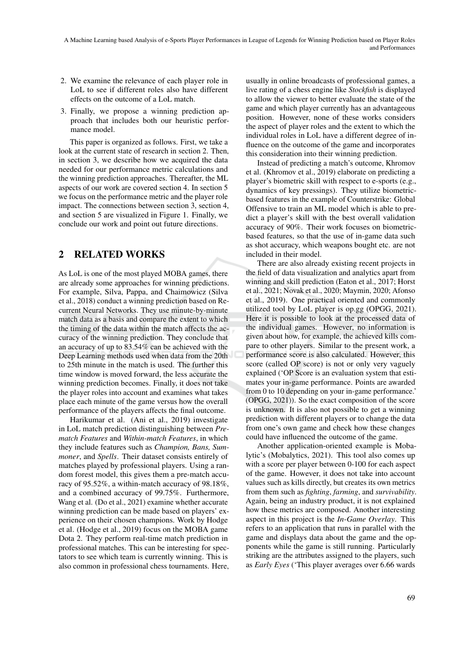- 2. We examine the relevance of each player role in LoL to see if different roles also have different effects on the outcome of a LoL match.
- 3. Finally, we propose a winning prediction approach that includes both our heuristic performance model.

This paper is organized as follows. First, we take a look at the current state of research in section 2. Then, in section 3, we describe how we acquired the data needed for our performance metric calculations and the winning prediction approaches. Thereafter, the ML aspects of our work are covered section 4. In section 5 we focus on the performance metric and the player role impact. The connections between section 3, section 4, and section 5 are visualized in Figure 1. Finally, we conclude our work and point out future directions.

# 2 RELATED WORKS

As LoL is one of the most played MOBA games, there are already some approaches for winning predictions. For example, Silva, Pappa, and Chaimowicz (Silva et al., 2018) conduct a winning prediction based on Recurrent Neural Networks. They use minute-by-minute match data as a basis and compare the extent to which the timing of the data within the match affects the accuracy of the winning prediction. They conclude that an accuracy of up to 83.54% can be achieved with the Deep Learning methods used when data from the 20th to 25th minute in the match is used. The further this time window is moved forward, the less accurate the winning prediction becomes. Finally, it does not take the player roles into account and examines what takes place each minute of the game versus how the overall performance of the players affects the final outcome.

Harikumar et al. (Ani et al., 2019) investigate in LoL match prediction distinguishing between *Prematch Features* and *Within-match Features*, in which they include features such as *Champion, Bans, Summoner*, and *Spells*. Their dataset consists entirely of matches played by professional players. Using a random forest model, this gives them a pre-match accuracy of 95.52%, a within-match accuracy of 98.18%, and a combined accuracy of 99.75%. Furthermore, Wang et al. (Do et al., 2021) examine whether accurate winning prediction can be made based on players' experience on their chosen champions. Work by Hodge et al. (Hodge et al., 2019) focus on the MOBA game Dota 2. They perform real-time match prediction in professional matches. This can be interesting for spectators to see which team is currently winning. This is also common in professional chess tournaments. Here,

usually in online broadcasts of professional games, a live rating of a chess engine like *Stockfish* is displayed to allow the viewer to better evaluate the state of the game and which player currently has an advantageous position. However, none of these works considers the aspect of player roles and the extent to which the individual roles in LoL have a different degree of influence on the outcome of the game and incorporates this consideration into their winning prediction.

Instead of predicting a match's outcome, Khromov et al. (Khromov et al., 2019) elaborate on predicting a player's biometric skill with respect to e-sports (e.g., dynamics of key pressings). They utilize biometricbased features in the example of Counterstrike: Global Offensive to train an ML model which is able to predict a player's skill with the best overall validation accuracy of 90%. Their work focuses on biometricbased features, so that the use of in-game data such as shot accuracy, which weapons bought etc. are not included in their model.

There are also already existing recent projects in the field of data visualization and analytics apart from winning and skill prediction (Eaton et al., 2017; Horst et al., 2021; Novak et al., 2020; Maymin, 2020; Afonso et al., 2019). One practical oriented and commonly utilized tool by LoL player is op.gg (OPGG, 2021). Here it is possible to look at the processed data of the individual games. However, no information is given about how, for example, the achieved kills compare to other players. Similar to the present work, a performance score is also calculated. However, this score (called OP score) is not or only very vaguely explained ('OP Score is an evaluation system that estimates your in-game performance. Points are awarded from 0 to 10 depending on your in-game performance.' (OPGG, 2021)). So the exact composition of the score is unknown. It is also not possible to get a winning prediction with different players or to change the data from one's own game and check how these changes could have influenced the outcome of the game.

Another application-oriented example is Mobalytic's (Mobalytics, 2021). This tool also comes up with a score per player between 0-100 for each aspect of the game. However, it does not take into account values such as kills directly, but creates its own metrics from them such as *fighting*, *farming*, and *survivability*. Again, being an industry product, it is not explained how these metrics are composed. Another interesting aspect in this project is the *In-Game Overlay*. This refers to an application that runs in parallel with the game and displays data about the game and the opponents while the game is still running. Particularly striking are the attributes assigned to the players, such as *Early Eyes* ('This player averages over 6.66 wards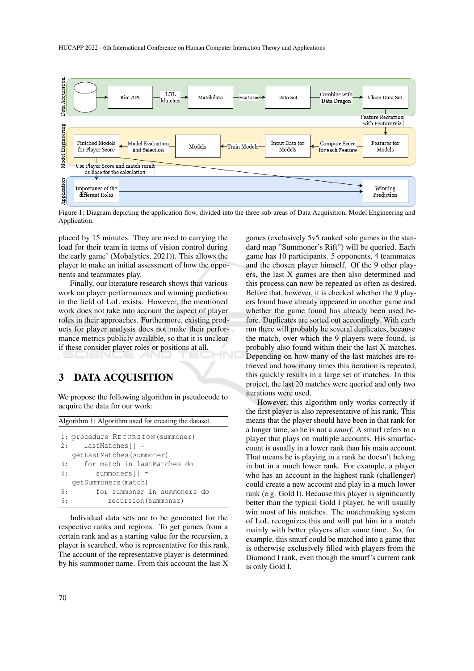

Figure 1: Diagram depicting the application flow, divided into the three sub-areas of Data Acquisition, Model Engineering and Application.

placed by 15 minutes. They are used to carrying the load for their team in terms of vision control during the early game' (Mobalytics, 2021)). This allows the player to make an initial assessment of how the opponents and teammates play.

Finally, our literature research shows that various work on player performances and winning prediction in the field of LoL exists. However, the mentioned work does not take into account the aspect of player roles in their approaches. Furthermore, existing products for player analysis does not make their performance metrics publicly available, so that it is unclear if these consider player roles or positions at all.

#### 3 DATA ACQUISITION

We propose the following algorithm in pseudocode to acquire the data for our work:

Algorithm 1: Algorithm used for creating the dataset.

|    | 1: procedure RECURSION (summoner) |  |  |  |  |  |  |
|----|-----------------------------------|--|--|--|--|--|--|
|    | $lastMatches[$ =<br>2:            |  |  |  |  |  |  |
|    | qetLastMatches(summoner)          |  |  |  |  |  |  |
| 3: | for match in lastMatches do       |  |  |  |  |  |  |
| 4: | $summoners$ $\vert$ =             |  |  |  |  |  |  |
|    | qetSummoners(match)               |  |  |  |  |  |  |
| 5: | for summoner in summoners do      |  |  |  |  |  |  |
| 6: | recursion (summoner)              |  |  |  |  |  |  |

Individual data sets are to be generated for the respective ranks and regions. To get games from a certain rank and as a starting value for the recursion, a player is searched, who is representative for this rank. The account of the representative player is determined by his summoner name. From this account the last X games (exclusively 5v5 ranked solo games in the standard map "Summoner's Rift") will be queried. Each game has 10 participants. 5 opponents, 4 teammates and the chosen player himself. Of the 9 other players, the last X games are then also determined and this process can now be repeated as often as desired. Before that, however, it is checked whether the 9 players found have already appeared in another game and whether the game found has already been used before. Duplicates are sorted out accordingly. With each run there will probably be several duplicates, because the match, over which the 9 players were found, is probably also found within their the last X matches. Depending on how many of the last matches are retrieved and how many times this iteration is repeated, this quickly results in a large set of matches. In this project, the last 20 matches were queried and only two iterations were used.

However, this algorithm only works correctly if the first player is also representative of his rank. This means that the player should have been in that rank for a longer time, so he is not a *smurf*. A smurf refers to a player that plays on multiple accounts. His smurfaccount is usually in a lower rank than his main account. That means he is playing in a rank he doesn't belong in but in a much lower rank. For example, a player who has an account in the highest rank (challenger) could create a new account and play in a much lower rank (e.g. Gold I). Because this player is significantly better than the typical Gold I player, he will usually win most of his matches. The matchmaking system of LoL recognizes this and will put him in a match mainly with better players after some time. So, for example, this smurf could be matched into a game that is otherwise exclusively filled with players from the Diamond I rank, even though the smurf's current rank is only Gold I.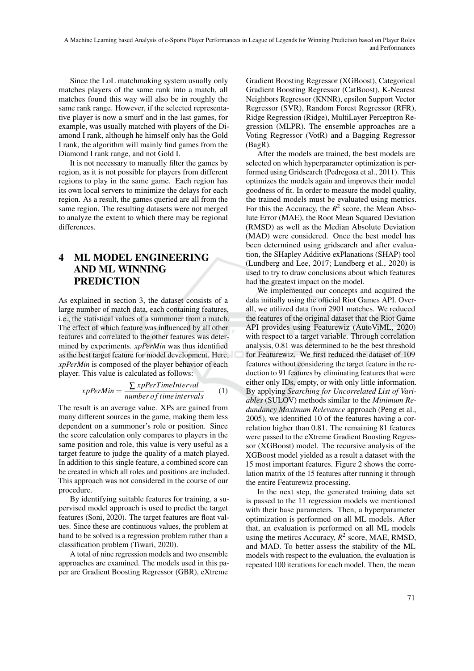A Machine Learning based Analysis of e-Sports Player Performances in League of Legends for Winning Prediction based on Player Roles and Performances

Since the LoL matchmaking system usually only matches players of the same rank into a match, all matches found this way will also be in roughly the same rank range. However, if the selected representative player is now a smurf and in the last games, for example, was usually matched with players of the Diamond I rank, although he himself only has the Gold I rank, the algorithm will mainly find games from the Diamond I rank range, and not Gold I.

It is not necessary to manually filter the games by region, as it is not possible for players from different regions to play in the same game. Each region has its own local servers to minimize the delays for each region. As a result, the games queried are all from the same region. The resulting datasets were not merged to analyze the extent to which there may be regional differences.

## 4 ML MODEL ENGINEERING AND ML WINNING PREDICTION

As explained in section 3, the dataset consists of a large number of match data, each containing features, i.e., the statistical values of a summoner from a match. The effect of which feature was influenced by all other features and correlated to the other features was determined by experiments. *xpPerMin* was thus identified as the best target feature for model development. Here, *xpPerMin* is composed of the player behavior of each player. This value is calculated as follows:

$$
xpPerMin = \frac{\sum xpPerTimeInterval}{number of time intervals}
$$
 (1)

The result is an average value. XPs are gained from many different sources in the game, making them less dependent on a summoner's role or position. Since the score calculation only compares to players in the same position and role, this value is very useful as a target feature to judge the quality of a match played. In addition to this single feature, a combined score can be created in which all roles and positions are included. This approach was not considered in the course of our procedure.

By identifying suitable features for training, a supervised model approach is used to predict the target features (Soni, 2020). The target features are float values. Since these are continuous values, the problem at hand to be solved is a regression problem rather than a classification problem (Tiwari, 2020).

A total of nine regression models and two ensemble approaches are examined. The models used in this paper are Gradient Boosting Regressor (GBR), eXtreme

Gradient Boosting Regressor (XGBoost), Categorical Gradient Boosting Regressor (CatBoost), K-Nearest Neighbors Regressor (KNNR), epsilon Support Vector Regressor (SVR), Random Forest Regressor (RFR), Ridge Regression (Ridge), MultiLayer Perceptron Regression (MLPR). The ensemble approaches are a Voting Regressor (VotR) and a Bagging Regressor (BagR).

After the models are trained, the best models are selected on which hyperparameter optimization is performed using Gridsearch (Pedregosa et al., 2011). This optimizes the models again and improves their model goodness of fit. In order to measure the model quality, the trained models must be evaluated using metrics. For this the Accuracy, the  $R^2$  score, the Mean Absolute Error (MAE), the Root Mean Squared Deviation (RMSD) as well as the Median Absolute Deviation (MAD) were considered. Once the best model has been determined using gridsearch and after evaluation, the SHapley Additive exPlanations (SHAP) tool (Lundberg and Lee, 2017; Lundberg et al., 2020) is used to try to draw conclusions about which features had the greatest impact on the model.

We implemented our concepts and acquired the data initially using the official Riot Games API. Overall, we utilized data from 2901 matches. We reduced the features of the original dataset that the Riot Game API provides using Featurewiz (AutoViML, 2020) with respect to a target variable. Through correlation analysis, 0.81 was determined to be the best threshold for Featurewiz. We first reduced the dataset of 109 features without considering the target feature in the reduction to 91 features by eliminating features that were either only IDs, empty, or with only little information. By applying *Searching for Uncorrelated List of Variables* (SULOV) methods similar to the *Minimum Redundancy Maximum Relevance* approach (Peng et al., 2005), we identified 10 of the features having a correlation higher than 0.81. The remaining 81 features were passed to the eXtreme Gradient Boosting Regressor (XGBoost) model. The recursive analysis of the XGBoost model yielded as a result a dataset with the 15 most important features. Figure 2 shows the correlation matrix of the 15 features after running it through the entire Featurewiz processing.

In the next step, the generated training data set is passed to the 11 regression models we mentioned with their base parameters. Then, a hyperparameter optimization is performed on all ML models. After that, an evaluation is performed on all ML models using the metircs Accuracy,  $R^2$  score, MAE, RMSD, and MAD. To better assess the stability of the ML models with respect to the evaluation, the evaluation is repeated 100 iterations for each model. Then, the mean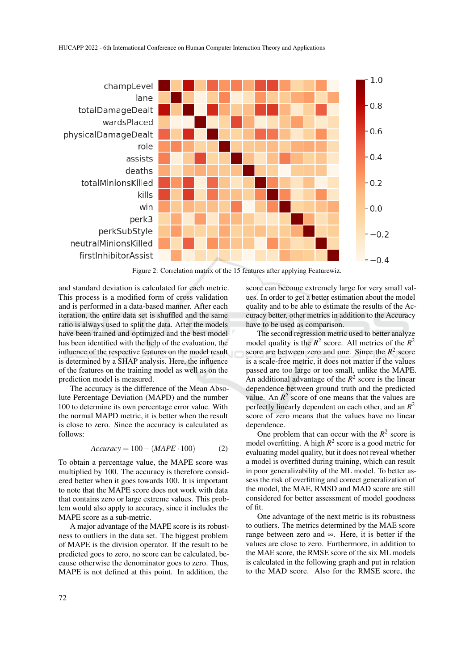

Figure 2: Correlation matrix of the 15 features after applying Featurewiz.

and standard deviation is calculated for each metric. This process is a modified form of cross validation and is performed in a data-based manner. After each iteration, the entire data set is shuffled and the same ratio is always used to split the data. After the models have been trained and optimized and the best model has been identified with the help of the evaluation, the influence of the respective features on the model result is determined by a SHAP analysis. Here, the influence of the features on the training model as well as on the prediction model is measured.

The accuracy is the difference of the Mean Absolute Percentage Deviation (MAPD) and the number 100 to determine its own percentage error value. With the normal MAPD metric, it is better when the result is close to zero. Since the accuracy is calculated as follows:

$$
Accuracy = 100 - (MAPE \cdot 100)
$$
 (2)

To obtain a percentage value, the MAPE score was multiplied by 100. The accuracy is therefore considered better when it goes towards 100. It is important to note that the MAPE score does not work with data that contains zero or large extreme values. This problem would also apply to accuracy, since it includes the MAPE score as a sub-metric.

A major advantage of the MAPE score is its robustness to outliers in the data set. The biggest problem of MAPE is the division operator. If the result to be predicted goes to zero, no score can be calculated, because otherwise the denominator goes to zero. Thus, MAPE is not defined at this point. In addition, the

score can become extremely large for very small values. In order to get a better estimation about the model quality and to be able to estimate the results of the Accuracy better, other metrics in addition to the Accuracy have to be used as comparison.

The second regression metric used to better analyze model quality is the  $R^2$  score. All metrics of the  $R^2$ score are between zero and one. Since the  $R^2$  score is a scale-free metric, it does not matter if the values passed are too large or too small, unlike the MAPE. An additional advantage of the  $R^2$  score is the linear dependence between ground truth and the predicted value. An  $R^2$  score of one means that the values are perfectly linearly dependent on each other, and an *R* 2 score of zero means that the values have no linear dependence.

One problem that can occur with the  $R^2$  score is model overfitting. A high  $R^2$  score is a good metric for evaluating model quality, but it does not reveal whether a model is overfitted during training, which can result in poor generalizability of the ML model. To better assess the risk of overfitting and correct generalization of the model, the MAE, RMSD and MAD score are still considered for better assessment of model goodness of fit.

One advantage of the next metric is its robustness to outliers. The metrics determined by the MAE score range between zero and ∞. Here, it is better if the values are close to zero. Furthermore, in addition to the MAE score, the RMSE score of the six ML models is calculated in the following graph and put in relation to the MAD score. Also for the RMSE score, the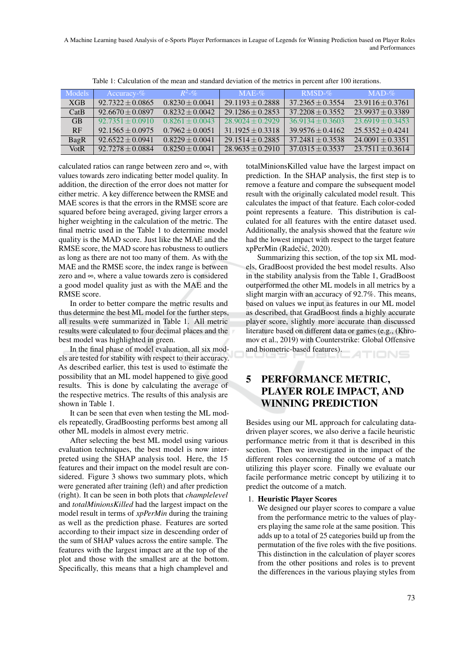A Machine Learning based Analysis of e-Sports Player Performances in League of Legends for Winning Prediction based on Player Roles and Performances

| <b>Models</b> | Accuracy- $\%$     | $R^2 - \mathcal{D}_0$ | $MAE-%$            | $RMSD-%$           | $MAD-%$              |
|---------------|--------------------|-----------------------|--------------------|--------------------|----------------------|
| <b>XGB</b>    | $92.7322 + 0.0865$ | $0.8230 + 0.0041$     | $29.1193 + 0.2888$ | $37.2365 + 0.3554$ | $23.9116 + 0.3761$   |
| CatB          | $92.6670 + 0.0897$ | $0.8232 + 0.0042$     | $29.1286 + 0.2853$ | $37.2208 + 0.3552$ | $23.9937 + 0.3389$   |
| <b>GB</b>     | $92.7351 + 0.0910$ | $0.8261 + 0.0043$     | $28.9024 + 0.2929$ | $36.9134 + 0.3603$ | $23.6919 + 0.3453$   |
| <b>RF</b>     | $92.1565 + 0.0975$ | $0.7962 + 0.0051$     | $31.1925 + 0.3318$ | $39.9576 + 0.4162$ | $25.5352 + 0.4241$   |
| BagR          | $92.6522 + 0.0941$ | $0.8229 \pm 0.0041$   | $29.1514 + 0.2885$ | $37.2481 + 0.3538$ | $24.0091 \pm 0.3351$ |
| <b>VotR</b>   | $92.7278 + 0.0884$ | $0.8250 + 0.0041$     | $28.9635 + 0.2910$ | $37.0315 + 0.3537$ | $23.7511 + 0.3614$   |

Table 1: Calculation of the mean and standard deviation of the metrics in percent after 100 iterations.

calculated ratios can range between zero and ∞, with values towards zero indicating better model quality. In addition, the direction of the error does not matter for either metric. A key difference between the RMSE and MAE scores is that the errors in the RMSE score are squared before being averaged, giving larger errors a higher weighting in the calculation of the metric. The final metric used in the Table 1 to determine model quality is the MAD score. Just like the MAE and the RMSE score, the MAD score has robustness to outliers as long as there are not too many of them. As with the MAE and the RMSE score, the index range is between zero and ∞, where a value towards zero is considered a good model quality just as with the MAE and the RMSE score.

In order to better compare the metric results and thus determine the best ML model for the further steps, all results were summarized in Table 1. All metric results were calculated to four decimal places and the best model was highlighted in green.

In the final phase of model evaluation, all six models are tested for stability with respect to their accuracy. As described earlier, this test is used to estimate the possibility that an ML model happened to give good results. This is done by calculating the average of the respective metrics. The results of this analysis are shown in Table 1.

It can be seen that even when testing the ML models repeatedly, GradBoosting performs best among all other ML models in almost every metric.

After selecting the best ML model using various evaluation techniques, the best model is now interpreted using the SHAP analysis tool. Here, the 15 features and their impact on the model result are considered. Figure 3 shows two summary plots, which were generated after training (left) and after prediction (right). It can be seen in both plots that *champlelevel* and *totalMinionsKilled* had the largest impact on the model result in terms of *xpPerMin* during the training as well as the prediction phase. Features are sorted according to their impact size in descending order of the sum of SHAP values across the entire sample. The features with the largest impact are at the top of the plot and those with the smallest are at the bottom. Specifically, this means that a high champlevel and

totalMinionsKilled value have the largest impact on prediction. In the SHAP analysis, the first step is to remove a feature and compare the subsequent model result with the originally calculated model result. This calculates the impact of that feature. Each color-coded point represents a feature. This distribution is calculated for all features with the entire dataset used. Additionally, the analysis showed that the feature *win* had the lowest impact with respect to the target feature xpPerMin (Radečić, 2020).

Summarizing this section, of the top six ML models, GradBoost provided the best model results. Also in the stability analysis from the Table 1, GradBoost outperformed the other ML models in all metrics by a slight margin with an accuracy of 92.7%. This means, based on values we input as features in our ML model as described, that GradBoost finds a highly accurate player score, slightly more accurate than discussed literature based on different data or games (e.g., (Khromov et al., 2019) with Counterstrike: Global Offensive and biometric-based features).

ATIONS

# PERFORMANCE METRIC, PLAYER ROLE IMPACT, AND WINNING PREDICTION

Besides using our ML approach for calculating datadriven player scores, we also derive a facile heuristic performance metric from it that is described in this section. Then we investigated in the impact of the different roles concerning the outcome of a match utilizing this player score. Finally we evaluate our facile performance metric concept by utilizing it to predict the outcome of a match.

#### 1. Heuristic Player Scores

We designed our player scores to compare a value from the performance metric to the values of players playing the same role at the same position. This adds up to a total of 25 categories build up from the permutation of the five roles with the five positions. This distinction in the calculation of player scores from the other positions and roles is to prevent the differences in the various playing styles from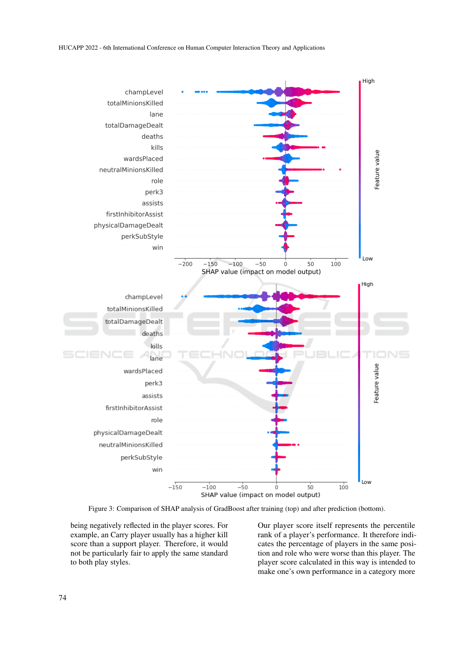

Figure 3: Comparison of SHAP analysis of GradBoost after training (top) and after prediction (bottom).

being negatively reflected in the player scores. For example, an Carry player usually has a higher kill score than a support player. Therefore, it would not be particularly fair to apply the same standard to both play styles.

Our player score itself represents the percentile rank of a player's performance. It therefore indicates the percentage of players in the same position and role who were worse than this player. The player score calculated in this way is intended to make one's own performance in a category more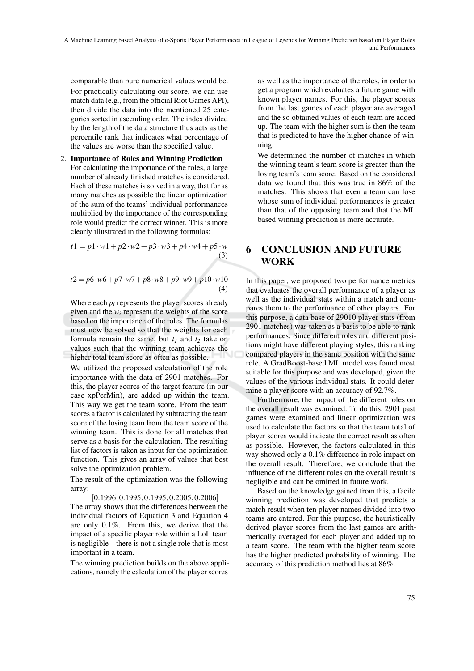A Machine Learning based Analysis of e-Sports Player Performances in League of Legends for Winning Prediction based on Player Roles and Performances

comparable than pure numerical values would be. For practically calculating our score, we can use match data (e.g., from the official Riot Games API), then divide the data into the mentioned 25 categories sorted in ascending order. The index divided by the length of the data structure thus acts as the percentile rank that indicates what percentage of the values are worse than the specified value.

2. Importance of Roles and Winning Prediction For calculating the importance of the roles, a large number of already finished matches is considered. Each of these matches is solved in a way, that for as many matches as possible the linear optimization of the sum of the teams' individual performances multiplied by the importance of the corresponding role would predict the correct winner. This is more clearly illustrated in the following formulas:

$$
t1 = p1 \cdot w1 + p2 \cdot w2 + p3 \cdot w3 + p4 \cdot w4 + p5 \cdot w
$$
  
(3)

$$
t2 = p6 \cdot w6 + p7 \cdot w7 + p8 \cdot w8 + p9 \cdot w9 + p10 \cdot w10
$$
  
(4)

Where each  $p_i$  represents the player scores already given and the  $w_i$  represent the weights of the score based on the importance of the roles. The formulas must now be solved so that the weights for each formula remain the same, but  $t_1$  and  $t_2$  take on values such that the winning team achieves the higher total team score as often as possible.

We utilized the proposed calculation of the role importance with the data of 2901 matches. For this, the player scores of the target feature (in our case xpPerMin), are added up within the team. This way we get the team score. From the team scores a factor is calculated by subtracting the team score of the losing team from the team score of the winning team. This is done for all matches that serve as a basis for the calculation. The resulting list of factors is taken as input for the optimization function. This gives an array of values that best solve the optimization problem.

The result of the optimization was the following array:

[0.1996,0.1995,0.1995,0.2005,0.2006] The array shows that the differences between the individual factors of Equation 3 and Equation 4 are only 0.1%. From this, we derive that the impact of a specific player role within a LoL team is negligible – there is not a single role that is most important in a team.

The winning prediction builds on the above applications, namely the calculation of the player scores

as well as the importance of the roles, in order to get a program which evaluates a future game with known player names. For this, the player scores from the last games of each player are averaged and the so obtained values of each team are added up. The team with the higher sum is then the team that is predicted to have the higher chance of winning.

We determined the number of matches in which the winning team's team score is greater than the losing team's team score. Based on the considered data we found that this was true in 86% of the matches. This shows that even a team can lose whose sum of individual performances is greater than that of the opposing team and that the ML based winning prediction is more accurate.

### 6 CONCLUSION AND FUTURE WORK

In this paper, we proposed two performance metrics that evaluates the overall performance of a player as well as the individual stats within a match and compares them to the performance of other players. For this purpose, a data base of 29010 player stats (from 2901 matches) was taken as a basis to be able to rank performances. Since different roles and different positions might have different playing styles, this ranking compared players in the same position with the same role. A GradBoost-based ML model was found most suitable for this purpose and was developed, given the values of the various individual stats. It could determine a player score with an accuracy of 92.7%.

Furthermore, the impact of the different roles on the overall result was examined. To do this, 2901 past games were examined and linear optimization was used to calculate the factors so that the team total of player scores would indicate the correct result as often as possible. However, the factors calculated in this way showed only a 0.1% difference in role impact on the overall result. Therefore, we conclude that the influence of the different roles on the overall result is negligible and can be omitted in future work.

Based on the knowledge gained from this, a facile winning prediction was developed that predicts a match result when ten player names divided into two teams are entered. For this purpose, the heuristically derived player scores from the last games are arithmetically averaged for each player and added up to a team score. The team with the higher team score has the higher predicted probability of winning. The accuracy of this prediction method lies at 86%.